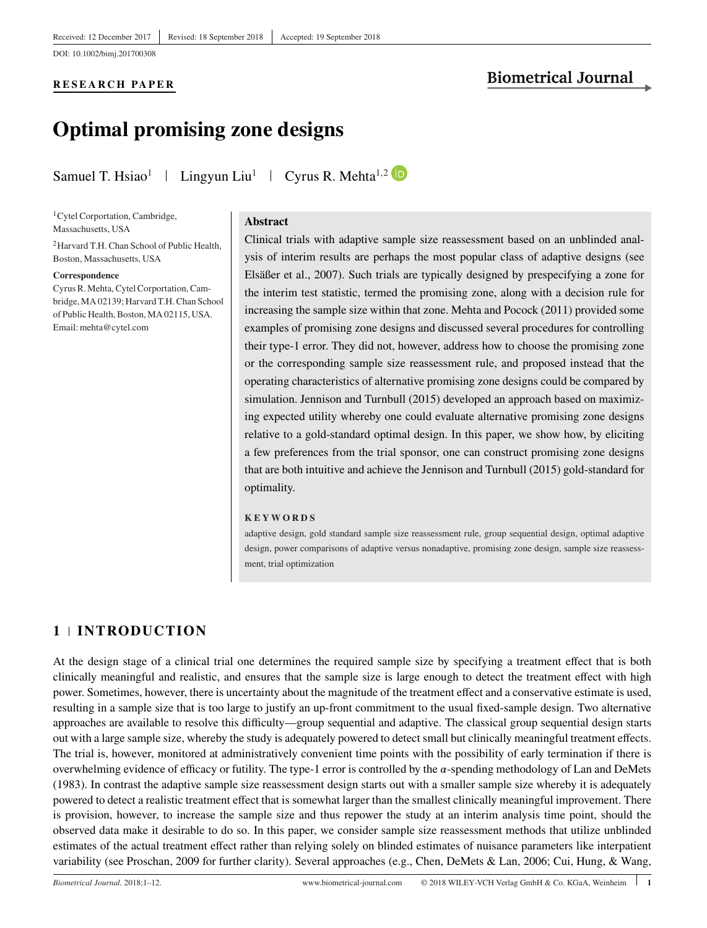DOI: 10.1002/bimj.201700308

#### **RESEARCH PAPER**

# **Biometrical Journal**

# **Optimal promising zone designs**

Samuel T. Hsiao<sup>1</sup> | Lingyun Liu<sup>1</sup> | Cyrus R. Mehta<sup>1,2</sup> **D** 

<sup>1</sup>Cytel Corportation, Cambridge, Massachusetts, USA

2Harvard T.H. Chan School of Public Health, Boston, Massachusetts, USA

**Correspondence**

Cyrus R. Mehta, Cytel Corportation, Cambridge, MA 02139; Harvard T.H. Chan School of Public Health, Boston, MA 02115, USA. Email: mehta@cytel.com

#### **Abstract**

Clinical trials with adaptive sample size reassessment based on an unblinded analysis of interim results are perhaps the most popular class of adaptive designs (see Elsäßer et al., 2007). Such trials are typically designed by prespecifying a zone for the interim test statistic, termed the promising zone, along with a decision rule for increasing the sample size within that zone. Mehta and Pocock (2011) provided some examples of promising zone designs and discussed several procedures for controlling their type-1 error. They did not, however, address how to choose the promising zone or the corresponding sample size reassessment rule, and proposed instead that the operating characteristics of alternative promising zone designs could be compared by simulation. Jennison and Turnbull (2015) developed an approach based on maximizing expected utility whereby one could evaluate alternative promising zone designs relative to a gold-standard optimal design. In this paper, we show how, by eliciting a few preferences from the trial sponsor, one can construct promising zone designs that are both intuitive and achieve the Jennison and Turnbull (2015) gold-standard for optimality.

#### **KEYWORDS**

adaptive design, gold standard sample size reassessment rule, group sequential design, optimal adaptive design, power comparisons of adaptive versus nonadaptive, promising zone design, sample size reassessment, trial optimization

## **1 INTRODUCTION**

At the design stage of a clinical trial one determines the required sample size by specifying a treatment effect that is both clinically meaningful and realistic, and ensures that the sample size is large enough to detect the treatment effect with high power. Sometimes, however, there is uncertainty about the magnitude of the treatment effect and a conservative estimate is used, resulting in a sample size that is too large to justify an up-front commitment to the usual fixed-sample design. Two alternative approaches are available to resolve this difficulty—group sequential and adaptive. The classical group sequential design starts out with a large sample size, whereby the study is adequately powered to detect small but clinically meaningful treatment effects. The trial is, however, monitored at administratively convenient time points with the possibility of early termination if there is overwhelming evidence of efficacy or futility. The type-1 error is controlled by the  $\alpha$ -spending methodology of Lan and DeMets (1983). In contrast the adaptive sample size reassessment design starts out with a smaller sample size whereby it is adequately powered to detect a realistic treatment effect that is somewhat larger than the smallest clinically meaningful improvement. There is provision, however, to increase the sample size and thus repower the study at an interim analysis time point, should the observed data make it desirable to do so. In this paper, we consider sample size reassessment methods that utilize unblinded estimates of the actual treatment effect rather than relying solely on blinded estimates of nuisance parameters like interpatient variability (see Proschan, 2009 for further clarity). Several approaches (e.g., Chen, DeMets & Lan, 2006; Cui, Hung, & Wang,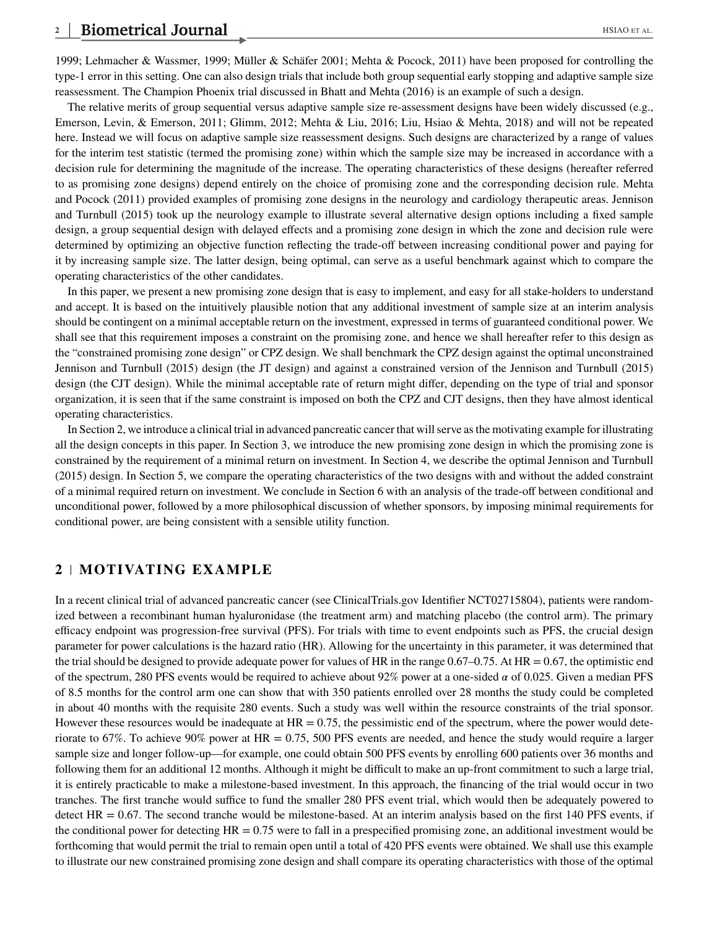## **22 HSIAO ET AL. ADDITED ADDITED AND HSIAO ET AL. ADDITED ADDITED AL. ADDITED ADDITED AL.**

1999; Lehmacher & Wassmer, 1999; Müller & Schäfer 2001; Mehta & Pocock, 2011) have been proposed for controlling the type-1 error in this setting. One can also design trials that include both group sequential early stopping and adaptive sample size reassessment. The Champion Phoenix trial discussed in Bhatt and Mehta (2016) is an example of such a design.

The relative merits of group sequential versus adaptive sample size re-assessment designs have been widely discussed (e.g., Emerson, Levin, & Emerson, 2011; Glimm, 2012; Mehta & Liu, 2016; Liu, Hsiao & Mehta, 2018) and will not be repeated here. Instead we will focus on adaptive sample size reassessment designs. Such designs are characterized by a range of values for the interim test statistic (termed the promising zone) within which the sample size may be increased in accordance with a decision rule for determining the magnitude of the increase. The operating characteristics of these designs (hereafter referred to as promising zone designs) depend entirely on the choice of promising zone and the corresponding decision rule. Mehta and Pocock (2011) provided examples of promising zone designs in the neurology and cardiology therapeutic areas. Jennison and Turnbull (2015) took up the neurology example to illustrate several alternative design options including a fixed sample design, a group sequential design with delayed effects and a promising zone design in which the zone and decision rule were determined by optimizing an objective function reflecting the trade-off between increasing conditional power and paying for it by increasing sample size. The latter design, being optimal, can serve as a useful benchmark against which to compare the operating characteristics of the other candidates.

In this paper, we present a new promising zone design that is easy to implement, and easy for all stake-holders to understand and accept. It is based on the intuitively plausible notion that any additional investment of sample size at an interim analysis should be contingent on a minimal acceptable return on the investment, expressed in terms of guaranteed conditional power. We shall see that this requirement imposes a constraint on the promising zone, and hence we shall hereafter refer to this design as the "constrained promising zone design" or CPZ design. We shall benchmark the CPZ design against the optimal unconstrained Jennison and Turnbull (2015) design (the JT design) and against a constrained version of the Jennison and Turnbull (2015) design (the CJT design). While the minimal acceptable rate of return might differ, depending on the type of trial and sponsor organization, it is seen that if the same constraint is imposed on both the CPZ and CJT designs, then they have almost identical operating characteristics.

In Section 2, we introduce a clinical trial in advanced pancreatic cancer that will serve as the motivating example for illustrating all the design concepts in this paper. In Section 3, we introduce the new promising zone design in which the promising zone is constrained by the requirement of a minimal return on investment. In Section 4, we describe the optimal Jennison and Turnbull (2015) design. In Section 5, we compare the operating characteristics of the two designs with and without the added constraint of a minimal required return on investment. We conclude in Section 6 with an analysis of the trade-off between conditional and unconditional power, followed by a more philosophical discussion of whether sponsors, by imposing minimal requirements for conditional power, are being consistent with a sensible utility function.

## **2 MOTIVATING EXAMPLE**

In a recent clinical trial of advanced pancreatic cancer (see ClinicalTrials.gov Identifier NCT02715804), patients were randomized between a recombinant human hyaluronidase (the treatment arm) and matching placebo (the control arm). The primary efficacy endpoint was progression-free survival (PFS). For trials with time to event endpoints such as PFS, the crucial design parameter for power calculations is the hazard ratio (HR). Allowing for the uncertainty in this parameter, it was determined that the trial should be designed to provide adequate power for values of HR in the range  $0.67-0.75$ . At HR = 0.67, the optimistic end of the spectrum, 280 PFS events would be required to achieve about 92% power at a one-sided  $\alpha$  of 0.025. Given a median PFS of 8.5 months for the control arm one can show that with 350 patients enrolled over 28 months the study could be completed in about 40 months with the requisite 280 events. Such a study was well within the resource constraints of the trial sponsor. However these resources would be inadequate at  $HR = 0.75$ , the pessimistic end of the spectrum, where the power would deteriorate to 67%. To achieve 90% power at HR = 0.75, 500 PFS events are needed, and hence the study would require a larger sample size and longer follow-up—for example, one could obtain 500 PFS events by enrolling 600 patients over 36 months and following them for an additional 12 months. Although it might be difficult to make an up-front commitment to such a large trial, it is entirely practicable to make a milestone-based investment. In this approach, the financing of the trial would occur in two tranches. The first tranche would suffice to fund the smaller 280 PFS event trial, which would then be adequately powered to detect HR = 0.67. The second tranche would be milestone-based. At an interim analysis based on the first 140 PFS events, if the conditional power for detecting  $HR = 0.75$  were to fall in a prespecified promising zone, an additional investment would be forthcoming that would permit the trial to remain open until a total of 420 PFS events were obtained. We shall use this example to illustrate our new constrained promising zone design and shall compare its operating characteristics with those of the optimal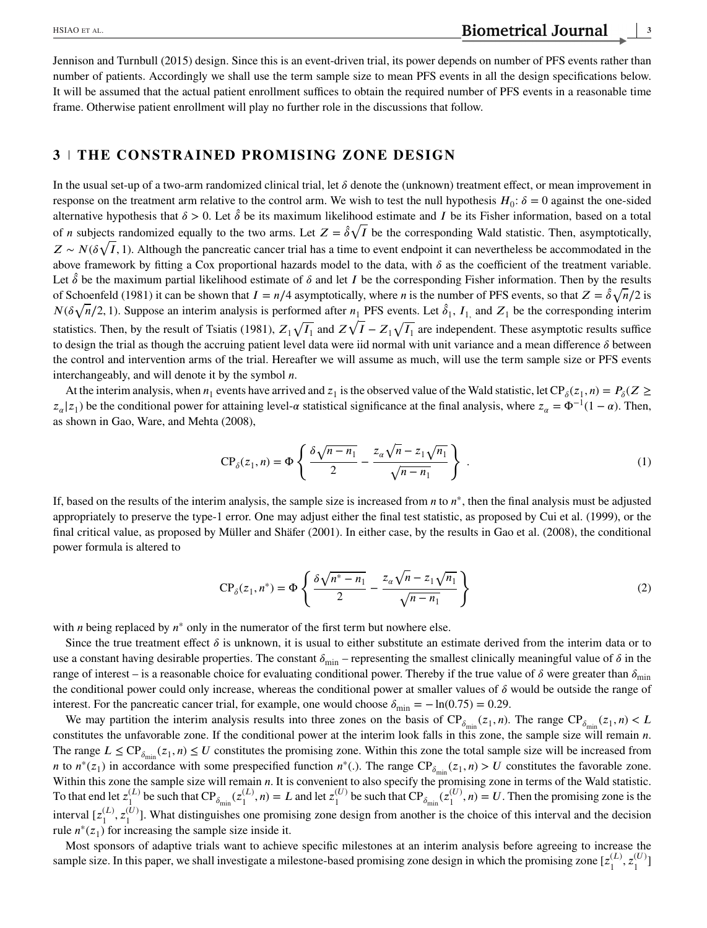Jennison and Turnbull (2015) design. Since this is an event-driven trial, its power depends on number of PFS events rather than number of patients. Accordingly we shall use the term sample size to mean PFS events in all the design specifications below. It will be assumed that the actual patient enrollment suffices to obtain the required number of PFS events in a reasonable time frame. Otherwise patient enrollment will play no further role in the discussions that follow.

## **3 THE CONSTRAINED PROMISING ZONE DESIGN**

In the usual set-up of a two-arm randomized clinical trial, let  $\delta$  denote the (unknown) treatment effect, or mean improvement in response on the treatment arm relative to the control arm. We wish to test the null hypothesis  $H_0$ :  $\delta = 0$  against the one-sided alternative hypothesis that  $\delta > 0$ . Let  $\hat{\delta}$  be its maximum likelihood estimate and I be its Fisher information, based on a total of *n* subjects randomized equally to the two arms. Let  $Z = \hat{\delta}\sqrt{I}$  be the corresponding Wald statistic. Then, asymptotically,  $Z \sim N(\delta\sqrt{I}, 1)$ . Although the pancreatic cancer trial has a time to event endpoint it can nevertheless be accommodated in the above framework by fitting a Cox proportional hazards model to the data, with  $\delta$  as the coefficient of the treatment variable. Let  $\hat{\delta}$  be the maximum partial likelihood estimate of  $\delta$  and let I be the corresponding Fisher information. Then by the results of Schoenfeld (1981) it can be shown that  $I = n/4$  asymptotically, where *n* is the number of PFS events, so that  $Z = \hat{\delta}\sqrt{n}/2$  is  $N(\delta\sqrt{n}/2, 1)$ . Suppose an interim analysis is performed after  $n_1$  PFS events. Let  $\hat{\delta}_1$ ,  $I_1$ , and  $Z_1$  be the corresponding interim statistics. Then, by the result of Tsiatis (1981),  $Z_1\sqrt{I_1}$  and  $Z\sqrt{I}-Z_1\sqrt{I_1}$  are independent. These asymptotic results suffice to design the trial as though the accruing patient level data were iid normal with unit variance and a mean difference  $\delta$  between the control and intervention arms of the trial. Hereafter we will assume as much, will use the term sample size or PFS events interchangeably, and will denote it by the symbol  $n$ .

At the interim analysis, when  $n_1$  events have arrived and  $z_1$  is the observed value of the Wald statistic, let  $\text{CP}_\delta(z_1, n) = P_\delta(Z \geq 0)$  $|z_{\alpha}|z_1\rangle$  be the conditional power for attaining level- $\alpha$  statistical significance at the final analysis, where  $z_{\alpha} = \Phi^{-1}(1 - \alpha)$ . Then, as shown in Gao, Ware, and Mehta (2008),

$$
CP_{\delta}(z_1, n) = \Phi\left\{\frac{\delta\sqrt{n-n_1}}{2} - \frac{z_{\alpha}\sqrt{n-z_1}\sqrt{n_1}}{\sqrt{n-n_1}}\right\}.
$$
 (1)

If, based on the results of the interim analysis, the sample size is increased from  $n$  to  $n^*$ , then the final analysis must be adjusted appropriately to preserve the type-1 error. One may adjust either the final test statistic, as proposed by Cui et al. (1999), or the final critical value, as proposed by Müller and Shäfer (2001). In either case, by the results in Gao et al. (2008), the conditional power formula is altered to

$$
CP_{\delta}(z_1, n^*) = \Phi \left\{ \frac{\delta \sqrt{n^* - n_1}}{2} - \frac{z_{\alpha} \sqrt{n} - z_1 \sqrt{n_1}}{\sqrt{n - n_1}} \right\}
$$
(2)

with *n* being replaced by  $n^*$  only in the numerator of the first term but nowhere else.

Since the true treatment effect  $\delta$  is unknown, it is usual to either substitute an estimate derived from the interim data or to use a constant having desirable properties. The constant  $\delta_{\min}$  – representing the smallest clinically meaningful value of  $\delta$  in the range of interest – is a reasonable choice for evaluating conditional power. Thereby if the true value of  $\delta$  were greater than  $\delta_{\min}$ the conditional power could only increase, whereas the conditional power at smaller values of  $\delta$  would be outside the range of interest. For the pancreatic cancer trial, for example, one would choose  $\delta_{\min} = -\ln(0.75) = 0.29$ .

We may partition the interim analysis results into three zones on the basis of  $CP_{\delta_{\min}}(z_1, n)$ . The range  $CP_{\delta_{\min}}(z_1, n) < L$ constitutes the unfavorable zone. If the conditional power at the interim look falls in this zone, the sample size will remain  $n$ . The range  $L \leq CP_{\delta_{\min}}(z_1, n) \leq U$  constitutes the promising zone. Within this zone the total sample size will be increased from *n* to  $n^*(z_1)$  in accordance with some prespecified function  $n^*(.)$ . The range  $\text{CP}_{\delta_{\text{min}}}(z_1, n) > U$  constitutes the favorable zone. Within this zone the sample size will remain n. It is convenient to also specify the promising zone in terms of the Wald statistic. To that end let  $z_1^{(L)}$  be such that  $\text{CP}_{\delta_{\text{min}}} (z_1^{(L)}, n) = L$  and let  $z_1^{(U)}$  be such that  $\text{CP}_{\delta_{\text{min}}} (z_1^{(U)}, n) = U$ . Then the promising zone is the interval  $[z_1^{(L)}, z_1^{(U)}]$ . What distinguishes one promising zone design from another is the choice of this interval and the decision rule  $n^*(z_1)$  for increasing the sample size inside it.

Most sponsors of adaptive trials want to achieve specific milestones at an interim analysis before agreeing to increase the sample size. In this paper, we shall investigate a milestone-based promising zone design in which the promising zone  $[z_1^{(L)}, z_1^{(U)}]$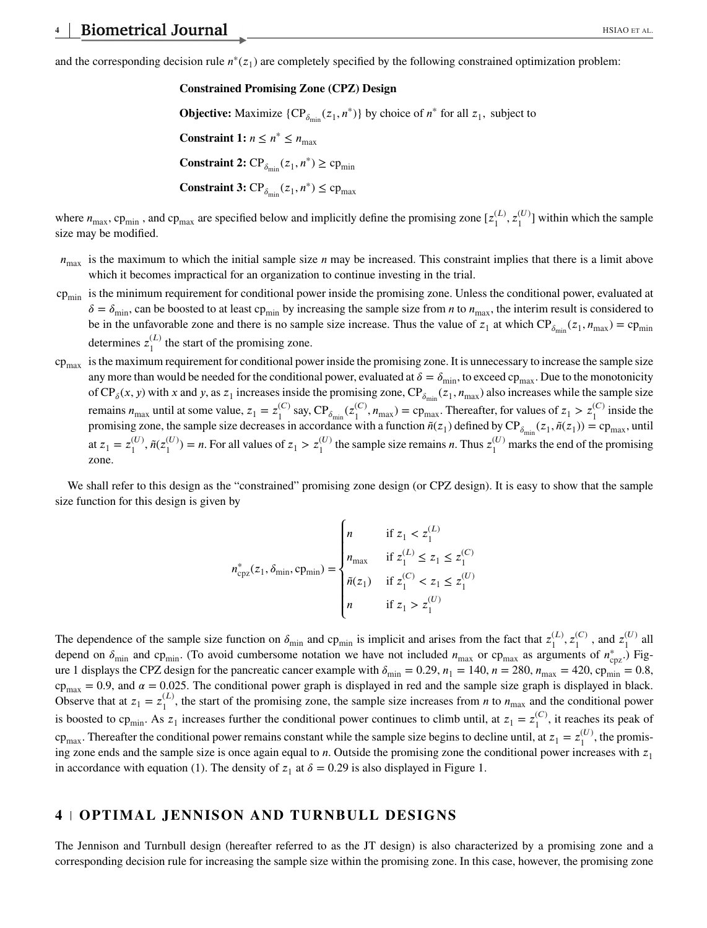and the corresponding decision rule  $n^*(z_1)$  are completely specified by the following constrained optimization problem:

#### **Constrained Promising Zone (CPZ) Design**

**Objective:** Maximize  $\{CP_{\delta_{\min}}(z_1, n^*)\}$  by choice of  $n^*$  for all  $z_1$ , subject to **Constraint 1:**  $n \leq n^* \leq n_{\max}$ **Constraint 2:**  $\text{CP}_{\delta_{\min}}(z_1, n^*) \geq \text{cp}_{\min}$ **Constraint 3:**  $\text{CP}_{\delta_{\min}}(z_1, n^*) \leq \text{cp}_{\max}$ 

where  $n_{\text{max}}$ ,  $cp_{\text{min}}$ , and  $cp_{\text{max}}$  are specified below and implicitly define the promising zone  $[z_1^{(L)}, z_1^{(U)}]$  within which the sample size may be modified.

- $n_{\text{max}}$  is the maximum to which the initial sample size *n* may be increased. This constraint implies that there is a limit above which it becomes impractical for an organization to continue investing in the trial.
- $cp<sub>min</sub>$  is the minimum requirement for conditional power inside the promising zone. Unless the conditional power, evaluated at  $\delta = \delta_{\min}$ , can be boosted to at least cp<sub>min</sub> by increasing the sample size from *n* to  $n_{\max}$ , the interim result is considered to be in the unfavorable zone and there is no sample size increase. Thus the value of  $z_1$  at which  $CP_{\delta_{\min}}(z_1, n_{\max}) = cp_{\min}$ determines  $z_1^{(L)}$  the start of the promising zone.
- $cp<sub>max</sub>$  is the maximum requirement for conditional power inside the promising zone. It is unnecessary to increase the sample size any more than would be needed for the conditional power, evaluated at  $\delta = \delta_{\min}$ , to exceed cp<sub>max</sub>. Due to the monotonicity of  $CP_\delta(x, y)$  with x and y, as  $z_1$  increases inside the promising zone,  $CP_{\delta_{min}}(z_1, n_{max})$  also increases while the sample size remains  $n_{\text{max}}$  until at some value,  $z_1 = z_1^{(C)}$  say,  $\text{CP}_{\delta_{\text{min}}} (z_1^{(C)}, n_{\text{max}}) = \text{cp}_{\text{max}}$ . Thereafter, for values of  $z_1 > z_1^{(C)}$  inside the promising zone, the sample size decreases in accordance with a function  $\tilde{n}(z_1)$  defined by  $\text{CP}_{\delta_{\text{min}}}(z_1, \tilde{n}(z_1)) = \text{cp}_{\text{max}}$ , until at  $z_1 = z_1^{(U)}$ ,  $\tilde{n}(z_1^{(U)}) = n$ . For all values of  $z_1 > z_1^{(U)}$  the sample size remains *n*. Thus  $z_1^{(U)}$  marks the end of the promising zone.

We shall refer to this design as the "constrained" promising zone design (or CPZ design). It is easy to show that the sample size function for this design is given by

$$
n_{\text{cpz}}^*(z_1, \delta_{\min}, \text{cp}_{\min}) = \begin{cases} n & \text{if } z_1 < z_1^{(L)} \\ n_{\max} & \text{if } z_1^{(L)} \le z_1 \le z_1^{(C)} \\ \tilde{n}(z_1) & \text{if } z_1^{(C)} < z_1 \le z_1^{(U)} \\ n & \text{if } z_1 > z_1^{(U)} \end{cases}
$$

The dependence of the sample size function on  $\delta_{\min}$  and cp<sub>min</sub> is implicit and arises from the fact that  $z_1^{(L)}$ ,  $z_1^{(C)}$ , and  $z_1^{(U)}$  all depend on  $\delta_{\min}$  and cp<sub>min</sub>. (To avoid cumbersome notation we have not included  $n_{\max}$  or cp<sub>max</sub> as arguments of  $n_{\text{cpz}}^*$ .) Figure 1 displays the CPZ design for the pancreatic cancer example with  $\delta_{\min} = 0.29$ ,  $n_1 = 140$ ,  $n = 280$ ,  $n_{\max} = 420$ ,  $cp_{\min} = 0.8$ ,  $cp_{\text{max}} = 0.9$ , and  $\alpha = 0.025$ . The conditional power graph is displayed in red and the sample size graph is displayed in black. Observe that at  $z_1 = z_1^{(L)}$ , the start of the promising zone, the sample size increases from *n* to  $n_{\text{max}}$  and the conditional power is boosted to cp<sub>min</sub>. As  $z_1$  increases further the conditional power continues to climb until, at  $z_1 = z_1^{(C)}$ , it reaches its peak of cp<sub>max</sub>. Thereafter the conditional power remains constant while the sample size begins to decline until, at  $z_1 = z_1^{(U)}$ , the promising zone ends and the sample size is once again equal to *n*. Outside the promising zone the conditional power increases with  $z_1$ in accordance with equation (1). The density of  $z_1$  at  $\delta = 0.29$  is also displayed in Figure 1.

## **4 OPTIMAL JENNISON AND TURNBULL DESIGNS**

The Jennison and Turnbull design (hereafter referred to as the JT design) is also characterized by a promising zone and a corresponding decision rule for increasing the sample size within the promising zone. In this case, however, the promising zone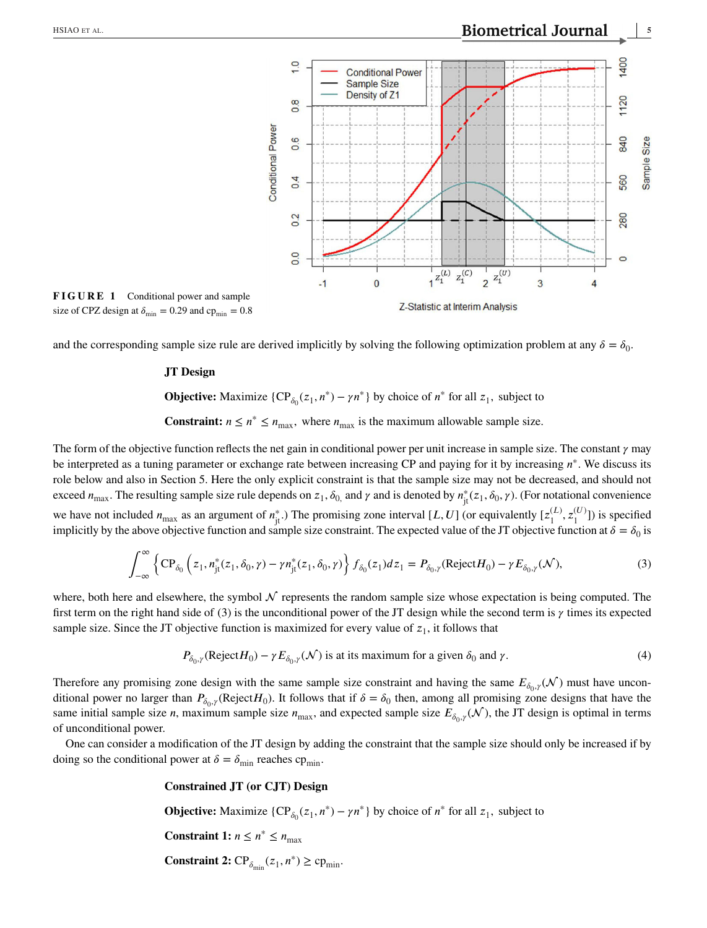

**FIGURE 1** Conditional power and sample size of CPZ design at  $\delta_{\text{min}} = 0.29$  and cp<sub>min</sub> = 0.8

and the corresponding sample size rule are derived implicitly by solving the following optimization problem at any  $\delta = \delta_0$ .

#### **JT Design**

**Objective:** Maximize  $\{CP_{\delta_0}(z_1, n^*) - \gamma n^*\}$  by choice of  $n^*$  for all  $z_1$ , subject to **Constraint:**  $n \leq n^* \leq n_{\text{max}}$ , where  $n_{\text{max}}$  is the maximum allowable sample size.

The form of the objective function reflects the net gain in conditional power per unit increase in sample size. The constant  $\gamma$  may be interpreted as a tuning parameter or exchange rate between increasing CP and paying for it by increasing  $n^*$ . We discuss its role below and also in Section 5. Here the only explicit constraint is that the sample size may not be decreased, and should not exceed  $n_{\text{max}}$ . The resulting sample size rule depends on  $z_1$ ,  $\delta_{0}$ , and  $\gamma$  and is denoted by  $n_{jt}^*(z_1, \delta_0, \gamma)$ . (For notational convenience we have not included  $n_{\text{max}}$  as an argument of  $n_{\text{jt}}^*$ .) The promising zone interval [*L*, *U*] (or equivalently [ $z_1^{(L)}$ ,  $z_1^{(U)}$ ]) is specified implicitly by the above objective function and sample size constraint. The expected value of the JT objective function at  $\delta = \delta_0$  is

$$
\int_{-\infty}^{\infty} \left\{ \mathbf{CP}_{\delta_0} \left( z_1, n_{\mathrm{jt}}^*(z_1, \delta_0, \gamma) - \gamma n_{\mathrm{jt}}^*(z_1, \delta_0, \gamma) \right\} f_{\delta_0}(z_1) dz_1 = P_{\delta_0, \gamma}(\mathrm{Reject} H_0) - \gamma E_{\delta_0, \gamma}(\mathcal{N}), \tag{3}
$$

where, both here and elsewhere, the symbol  $\mathcal N$  represents the random sample size whose expectation is being computed. The first term on the right hand side of (3) is the unconditional power of the JT design while the second term is  $\gamma$  times its expected sample size. Since the JT objective function is maximized for every value of  $z_1$ , it follows that

$$
P_{\delta_0, \gamma}(\text{Reject } H_0) - \gamma E_{\delta_0, \gamma}(\mathcal{N}) \text{ is at its maximum for a given } \delta_0 \text{ and } \gamma. \tag{4}
$$

Therefore any promising zone design with the same sample size constraint and having the same  $E_{\delta_0, \gamma}(\mathcal{N})$  must have unconditional power no larger than  $P_{\delta_0, \gamma}$  (Reject $H_0$ ). It follows that if  $\delta = \delta_0$  then, among all promising zone designs that have the same initial sample size *n*, maximum sample size  $n_{\text{max}}$ , and expected sample size  $E_{\delta_0, \gamma}(\mathcal{N})$ , the JT design is optimal in terms of unconditional power.

One can consider a modification of the JT design by adding the constraint that the sample size should only be increased if by doing so the conditional power at  $\delta = \delta_{\min}$  reaches cp<sub>min</sub>.

#### **Constrained JT (or CJT) Design**

**Objective:** Maximize {
$$
\text{CP}_{\delta_0}(z_1, n^*) - \gamma n^*
$$
} by choice of  $n^*$  for all  $z_1$ , subject to

**Constraint 1:**  $n \leq n^* \leq n_{\text{max}}$ 

**Constraint 2:**  $\text{CP}_{\delta_{\min}}(z_1, n^*) \geq \text{cp}_{\min}$ .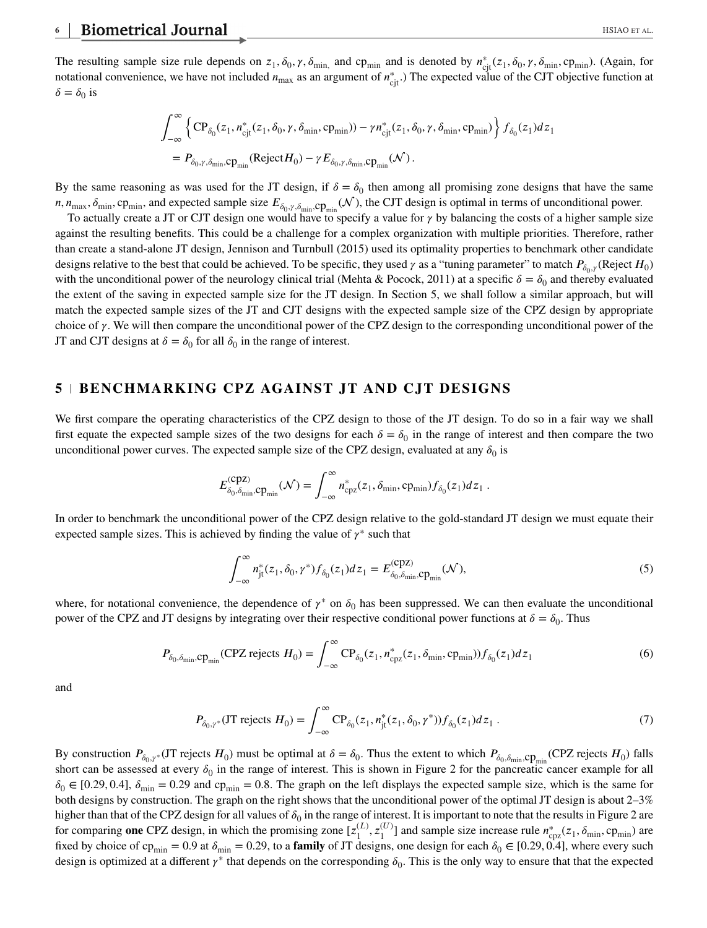The resulting sample size rule depends on  $z_1, \delta_0, \gamma, \delta_{\min}$ , and cp<sub>min</sub> and is denoted by  $n_{\text{cjt}}^*(z_1, \delta_0, \gamma, \delta_{\min}, \text{cp}_{\min})$ . (Again, for notational convenience, we have not included  $n_{\text{max}}$  as an argument of  $n_{\text{cjt}}^*$ .) The expected value of the CJT objective function at  $\delta = \delta_0$  is

$$
\int_{-\infty}^{\infty} \left\{ \mathbf{CP}_{\delta_0}(z_1, n_{\text{cjt}}^*(z_1, \delta_0, \gamma, \delta_{\min}, \mathbf{cp}_{\min})) - \gamma n_{\text{cjt}}^*(z_1, \delta_0, \gamma, \delta_{\min}, \mathbf{cp}_{\min}) \right\} f_{\delta_0}(z_1) dz_1
$$
  
=  $P_{\delta_0, \gamma, \delta_{\min}, \mathbf{cp}_{\min}}(\text{Reject} H_0) - \gamma E_{\delta_0, \gamma, \delta_{\min}, \mathbf{cp}_{\min}}(\mathcal{N}).$ 

By the same reasoning as was used for the JT design, if  $\delta = \delta_0$  then among all promising zone designs that have the same  $n, n_{\text{max}}, \delta_{\text{min}},$  cp<sub>min</sub>, and expected sample size  $E_{\delta_0, \gamma, \delta_{\text{min}}},$ cp<sub>min</sub> ( $\mathcal{N}$ ), the CJT design is optimal in terms of unconditional power.

To actually create a JT or CJT design one would have to specify a value for  $\gamma$  by balancing the costs of a higher sample size against the resulting benefits. This could be a challenge for a complex organization with multiple priorities. Therefore, rather than create a stand-alone JT design, Jennison and Turnbull (2015) used its optimality properties to benchmark other candidate designs relative to the best that could be achieved. To be specific, they used  $\gamma$  as a "tuning parameter" to match  $P_{\delta_0,\gamma}$ (Reject  $H_0$ ) with the unconditional power of the neurology clinical trial (Mehta & Pocock, 2011) at a specific  $\delta = \delta_0$  and thereby evaluated the extent of the saving in expected sample size for the JT design. In Section 5, we shall follow a similar approach, but will match the expected sample sizes of the JT and CJT designs with the expected sample size of the CPZ design by appropriate choice of  $\gamma$ . We will then compare the unconditional power of the CPZ design to the corresponding unconditional power of the JT and CJT designs at  $\delta = \delta_0$  for all  $\delta_0$  in the range of interest.

## **5 BENCHMARKING CPZ AGAINST JT AND CJT DESIGNS**

We first compare the operating characteristics of the CPZ design to those of the JT design. To do so in a fair way we shall first equate the expected sample sizes of the two designs for each  $\delta = \delta_0$  in the range of interest and then compare the two unconditional power curves. The expected sample size of the CPZ design, evaluated at any  $\delta_0$  is

$$
E_{\delta_0,\delta_{\min},\mathbf{CP}_{\min}}^{(\mathbf{CPZ})}(\mathcal{N}) = \int_{-\infty}^{\infty} n_{\mathbf{CPZ}}^*(z_1,\delta_{\min},\mathbf{CP}_{\min}) f_{\delta_0}(z_1) dz_1.
$$

In order to benchmark the unconditional power of the CPZ design relative to the gold-standard JT design we must equate their expected sample sizes. This is achieved by finding the value of  $\gamma^*$  such that

$$
\int_{-\infty}^{\infty} n_{\mathrm{jt}}^*(z_1, \delta_0, \gamma^*) f_{\delta_0}(z_1) dz_1 = E_{\delta_0, \delta_{\min}}^{\mathrm{(CpZ)}}(N),\tag{5}
$$

where, for notational convenience, the dependence of  $\gamma^*$  on  $\delta_0$  has been suppressed. We can then evaluate the unconditional power of the CPZ and JT designs by integrating over their respective conditional power functions at  $\delta = \delta_0$ . Thus

$$
P_{\delta_0, \delta_{\min}, \mathbf{CP}_{\min}}(\mathbf{CPZ}\text{ rejects }H_0) = \int_{-\infty}^{\infty} \mathbf{CP}_{\delta_0}(z_1, n_{\mathbf{CPZ}}^*(z_1, \delta_{\min}, \mathbf{CP}_{\min})) f_{\delta_0}(z_1) dz_1
$$
(6)

and

$$
P_{\delta_0, \gamma^*}(\text{JT rejects } H_0) = \int_{-\infty}^{\infty} \text{CP}_{\delta_0}(z_1, n_{\text{jt}}^*(z_1, \delta_0, \gamma^*)) f_{\delta_0}(z_1) dz_1 . \tag{7}
$$

By construction  $P_{\delta_0, \gamma^*}$  (JT rejects  $H_0$ ) must be optimal at  $\delta = \delta_0$ . Thus the extent to which  $P_{\delta_0, \delta_{\min}, \mathcal{CD}_{\min}}$  (CPZ rejects  $H_0$ ) falls short can be assessed at every  $\delta_0$  in the range of interest. This is shown in Figure 2 for the pancreatic cancer example for all  $\delta_0 \in [0.29, 0.4]$ ,  $\delta_{\min} = 0.29$  and cp<sub>min</sub> = 0.8. The graph on the left displays the expected sample size, which is the same for both designs by construction. The graph on the right shows that the unconditional power of the optimal JT design is about 2–3% higher than that of the CPZ design for all values of  $\delta_0$  in the range of interest. It is important to note that the results in Figure 2 are for comparing **one** CPZ design, in which the promising zone  $[z_1^{(L)}, z_1^{(U)}]$  and sample size increase rule  $n_{\text{cpz}}^*(z_1, \delta_{\text{min}}, \text{cp}_{\text{min}})$  are fixed by choice of cp<sub>min</sub> = 0.9 at  $\delta_{\text{min}}$  = 0.29, to a **family** of JT designs, one design for each  $\delta_0 \in [0.29, 0.4]$ , where every such design is optimized at a different  $\gamma^*$  that depends on the corresponding  $\delta_0$ . This is the only way to ensure that that the expected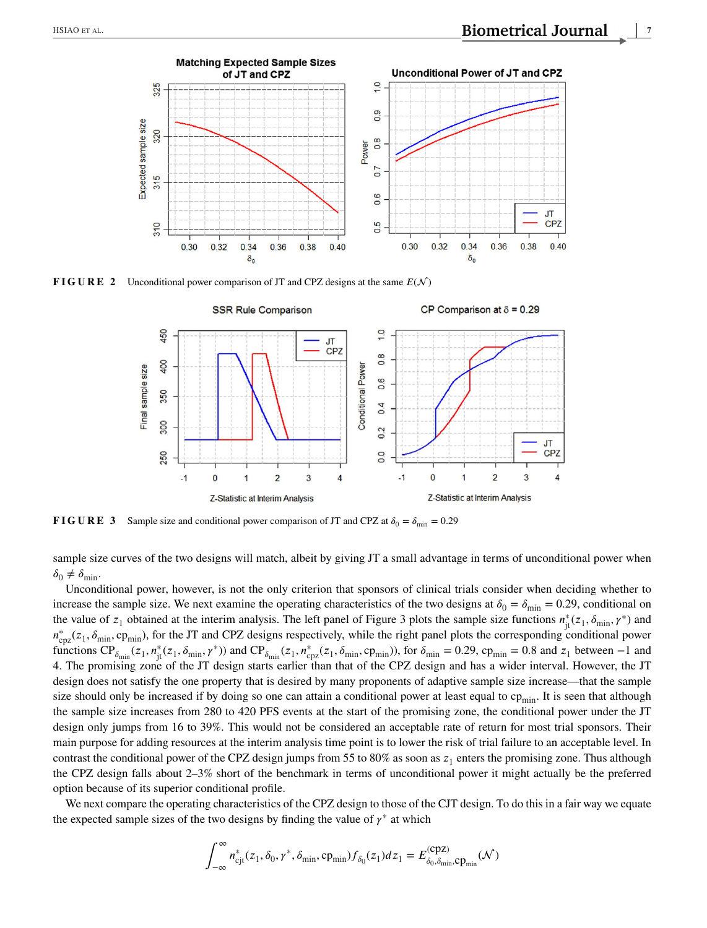

**FIGURE 2** Unconditional power comparison of JT and CPZ designs at the same  $E(\mathcal{N})$ 



**FIGURE 3** Sample size and conditional power comparison of JT and CPZ at  $\delta_0 = \delta_{\text{min}} = 0.29$ 

sample size curves of the two designs will match, albeit by giving JT a small advantage in terms of unconditional power when  $\delta_0 \neq \delta_{\min}$ .

Unconditional power, however, is not the only criterion that sponsors of clinical trials consider when deciding whether to increase the sample size. We next examine the operating characteristics of the two designs at  $\delta_0 = \delta_{\min} = 0.29$ , conditional on the value of  $z_1$  obtained at the interim analysis. The left panel of Figure 3 plots the sample size functions  $n_{jt}^*(z_1, \delta_{\min}, \gamma^*)$  and  $n_{\text{cpz}}^*(z_1, \delta_{\text{min}}, \text{cp}_{\text{min}})$ , for the JT and CPZ designs respectively, while the right panel plots the corresponding conditional power functions  $CP_{\delta_{\min}}(z_1, n_{jt}^*(z_1, \delta_{\min}, \gamma^*))$  and  $CP_{\delta_{\min}}(z_1, n_{\text{cpz}}^*(z_1, \delta_{\min}, \text{cp}_{\min}))$ , for  $\delta_{\min} = 0.29$ ,  $\text{cp}_{\min} = 0.8$  and  $z_1$  between  $-1$  and 4. The promising zone of the JT design starts earlier than that of the CPZ design and has a wider interval. However, the JT design does not satisfy the one property that is desired by many proponents of adaptive sample size increase—that the sample size should only be increased if by doing so one can attain a conditional power at least equal to  $cp_{\text{min}}$ . It is seen that although the sample size increases from 280 to 420 PFS events at the start of the promising zone, the conditional power under the JT design only jumps from 16 to 39%. This would not be considered an acceptable rate of return for most trial sponsors. Their main purpose for adding resources at the interim analysis time point is to lower the risk of trial failure to an acceptable level. In contrast the conditional power of the CPZ design jumps from 55 to 80% as soon as  $z_1$  enters the promising zone. Thus although the CPZ design falls about 2–3% short of the benchmark in terms of unconditional power it might actually be the preferred option because of its superior conditional profile.

We next compare the operating characteristics of the CPZ design to those of the CJT design. To do this in a fair way we equate the expected sample sizes of the two designs by finding the value of  $\gamma^*$  at which

$$
\int_{-\infty}^{\infty} n_{\textrm{cjt}}^*(z_1, \delta_0, \gamma^*, \delta_{\min}, \textrm{cp}_{\min}) f_{\delta_0}(z_1) dz_1 = E_{\delta_0, \delta_{\min}, \textrm{cp}_{\min}}^{(\mathbf{C}\mathbf{P}\mathbf{Z})}(\mathcal{N})
$$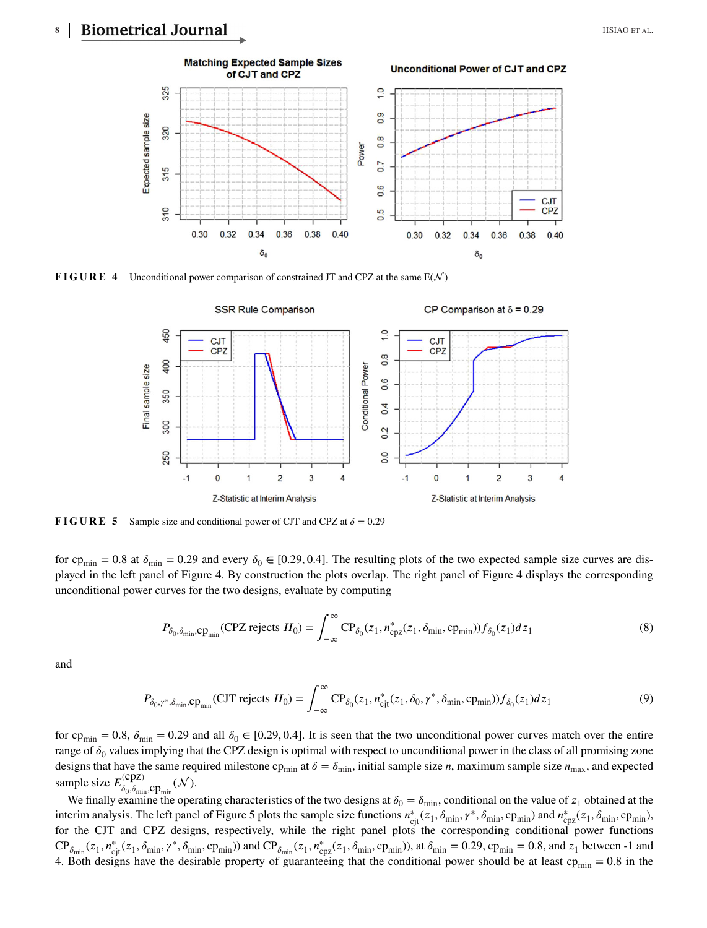

**FIGURE 4** Unconditional power comparison of constrained JT and CPZ at the same  $E(\mathcal{N})$ 



**FIGURE 5** Sample size and conditional power of CJT and CPZ at  $\delta = 0.29$ 

for cp<sub>min</sub> = 0.8 at  $\delta_{\text{min}}$  = 0.29 and every  $\delta_0 \in [0.29, 0.4]$ . The resulting plots of the two expected sample size curves are displayed in the left panel of Figure 4. By construction the plots overlap. The right panel of Figure 4 displays the corresponding unconditional power curves for the two designs, evaluate by computing

$$
P_{\delta_0, \delta_{\min}, \mathbf{CP}_{\min}}(\text{CPZ rejects } H_0) = \int_{-\infty}^{\infty} \text{CP}_{\delta_0}(z_1, n_{\text{cpz}}^*(z_1, \delta_{\min}, \text{cp}_{\min})) f_{\delta_0}(z_1) dz_1 \tag{8}
$$

and

$$
P_{\delta_0,\gamma^*,\delta_{\min},\mathbf{CP}_{\min}}(\mathbf{CJT}\text{ rejects }H_0) = \int_{-\infty}^{\infty} \mathbf{CP}_{\delta_0}(z_1, n_{\text{cjt}}^*(z_1, \delta_0, \gamma^*, \delta_{\min}, \mathbf{CP}_{\min})) f_{\delta_0}(z_1) dz_1\tag{9}
$$

for cp<sub>min</sub> = 0.8,  $\delta_{\text{min}}$  = 0.29 and all  $\delta_0 \in [0.29, 0.4]$ . It is seen that the two unconditional power curves match over the entire range of  $\delta_0$  values implying that the CPZ design is optimal with respect to unconditional power in the class of all promising zone designs that have the same required milestone cp<sub>min</sub> at  $\delta = \delta_{\min}$ , initial sample size *n*, maximum sample size  $n_{\max}$ , and expected sample size  $E_{\delta_0, \delta_{\min}}^{\text{(cpz)}}$ ,  $\text{cp}_{\min}(\mathcal{N})$ .

We finally examine the operating characteristics of the two designs at  $\delta_0 = \delta_{\min}$ , conditional on the value of  $z_1$  obtained at the interim analysis. The left panel of Figure 5 plots the sample size functions  $n_{\text{cjt}}^*(z_1, \delta_{\text{min}}, \gamma^*, \delta_{\text{min}}, \text{cp}_{\text{min}})$  and  $n_{\text{cpz}}^*(z_1, \delta_{\text{min}}, \text{cp}_{\text{min}})$ , for the CJT and CPZ designs, respectively, while the right panel plots the corresponding conditional power functions  $CP_{\delta_{\min}}(z_1, n_{\text{cjt}}^*(z_1, \delta_{\min}, \gamma^*, \delta_{\min}, \text{cp}_{\min}))$  and  $CP_{\delta_{\min}}(z_1, n_{\text{cpz}}^*(z_1, \delta_{\min}, \text{cp}_{\min}))$ , at  $\delta_{\min} = 0.29$ ,  $\text{cp}_{\min} = 0.8$ , and  $z_1$  between -1 and 4. Both designs have the desirable property of guaranteeing that the conditional power should be at least  $cp_{min} = 0.8$  in the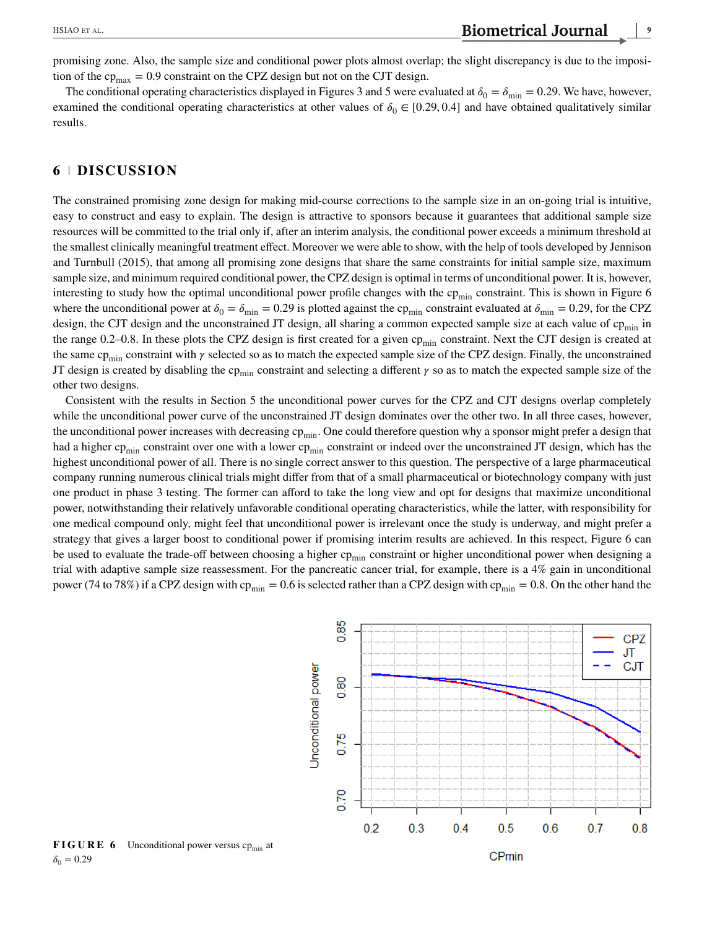promising zone. Also, the sample size and conditional power plots almost overlap; the slight discrepancy is due to the imposition of the  $cp_{\text{max}} = 0.9$  constraint on the CPZ design but not on the CJT design.

The conditional operating characteristics displayed in Figures 3 and 5 were evaluated at  $\delta_0 = \delta_{\min} = 0.29$ . We have, however, examined the conditional operating characteristics at other values of  $\delta_0 \in [0.29, 0.4]$  and have obtained qualitatively similar results.

## **6 DISCUSSION**

The constrained promising zone design for making mid-course corrections to the sample size in an on-going trial is intuitive, easy to construct and easy to explain. The design is attractive to sponsors because it guarantees that additional sample size resources will be committed to the trial only if, after an interim analysis, the conditional power exceeds a minimum threshold at the smallest clinically meaningful treatment effect. Moreover we were able to show, with the help of tools developed by Jennison and Turnbull (2015), that among all promising zone designs that share the same constraints for initial sample size, maximum sample size, and minimum required conditional power, the CPZ design is optimal in terms of unconditional power. It is, however, interesting to study how the optimal unconditional power profile changes with the  $cp_{min}$  constraint. This is shown in Figure 6 where the unconditional power at  $\delta_0 = \delta_{\text{min}} = 0.29$  is plotted against the cp<sub>min</sub> constraint evaluated at  $\delta_{\text{min}} = 0.29$ , for the CPZ design, the CJT design and the unconstrained JT design, all sharing a common expected sample size at each value of  $cp_{min}$  in the range 0.2–0.8. In these plots the CPZ design is first created for a given  $cp_{\text{min}}$  constraint. Next the CJT design is created at the same  $cp_{min}$  constraint with  $\gamma$  selected so as to match the expected sample size of the CPZ design. Finally, the unconstrained JT design is created by disabling the cp<sub>min</sub> constraint and selecting a different  $\gamma$  so as to match the expected sample size of the other two designs.

Consistent with the results in Section 5 the unconditional power curves for the CPZ and CJT designs overlap completely while the unconditional power curve of the unconstrained JT design dominates over the other two. In all three cases, however, the unconditional power increases with decreasing  $cp_{min}$ . One could therefore question why a sponsor might prefer a design that had a higher cp<sub>min</sub> constraint over one with a lower cp<sub>min</sub> constraint or indeed over the unconstrained JT design, which has the highest unconditional power of all. There is no single correct answer to this question. The perspective of a large pharmaceutical company running numerous clinical trials might differ from that of a small pharmaceutical or biotechnology company with just one product in phase 3 testing. The former can afford to take the long view and opt for designs that maximize unconditional power, notwithstanding their relatively unfavorable conditional operating characteristics, while the latter, with responsibility for one medical compound only, might feel that unconditional power is irrelevant once the study is underway, and might prefer a strategy that gives a larger boost to conditional power if promising interim results are achieved. In this respect, Figure 6 can be used to evaluate the trade-off between choosing a higher  $cp_{min}$  constraint or higher unconditional power when designing a trial with adaptive sample size reassessment. For the pancreatic cancer trial, for example, there is a 4% gain in unconditional power (74 to 78%) if a CPZ design with  $cp_{min} = 0.6$  is selected rather than a CPZ design with  $cp_{min} = 0.8$ . On the other hand the



**FIGURE 6** Unconditional power versus cp<sub>min</sub> at  $\delta_0 = 0.29$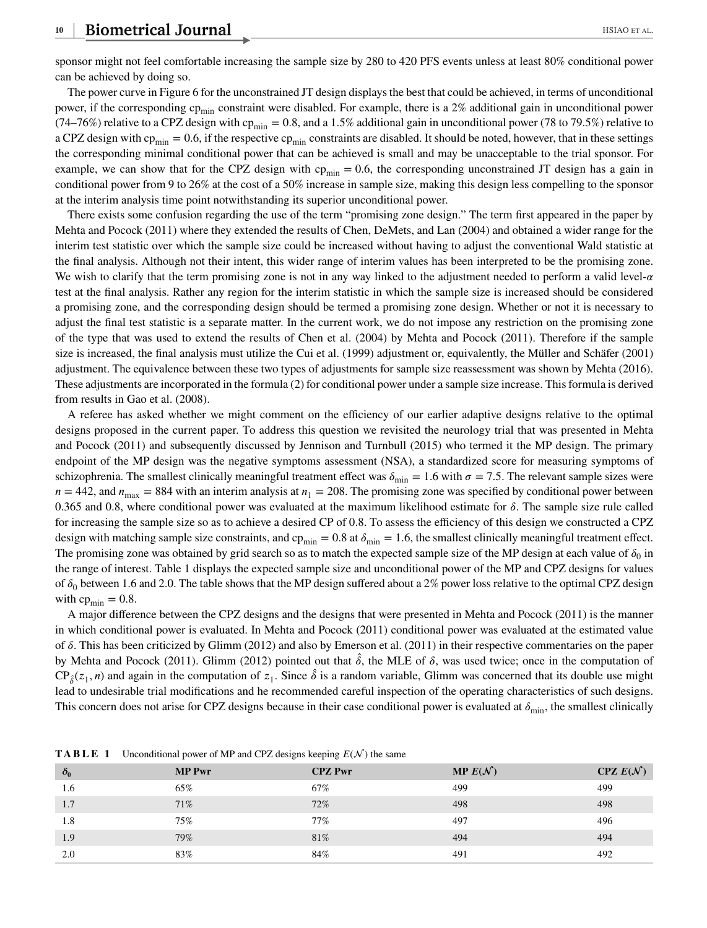sponsor might not feel comfortable increasing the sample size by 280 to 420 PFS events unless at least 80% conditional power can be achieved by doing so.

The power curve in Figure 6 for the unconstrained JT design displays the best that could be achieved, in terms of unconditional power, if the corresponding  $cp_{\text{min}}$  constraint were disabled. For example, there is a 2% additional gain in unconditional power (74–76%) relative to a CPZ design with  $cp_{min} = 0.8$ , and a 1.5% additional gain in unconditional power (78 to 79.5%) relative to a CPZ design with  $cp_{\text{min}} = 0.6$ , if the respective  $cp_{\text{min}}$  constraints are disabled. It should be noted, however, that in these settings the corresponding minimal conditional power that can be achieved is small and may be unacceptable to the trial sponsor. For example, we can show that for the CPZ design with  $cp_{min} = 0.6$ , the corresponding unconstrained JT design has a gain in conditional power from 9 to 26% at the cost of a 50% increase in sample size, making this design less compelling to the sponsor at the interim analysis time point notwithstanding its superior unconditional power.

There exists some confusion regarding the use of the term "promising zone design." The term first appeared in the paper by Mehta and Pocock (2011) where they extended the results of Chen, DeMets, and Lan (2004) and obtained a wider range for the interim test statistic over which the sample size could be increased without having to adjust the conventional Wald statistic at the final analysis. Although not their intent, this wider range of interim values has been interpreted to be the promising zone. We wish to clarify that the term promising zone is not in any way linked to the adjustment needed to perform a valid level- $\alpha$ test at the final analysis. Rather any region for the interim statistic in which the sample size is increased should be considered a promising zone, and the corresponding design should be termed a promising zone design. Whether or not it is necessary to adjust the final test statistic is a separate matter. In the current work, we do not impose any restriction on the promising zone of the type that was used to extend the results of Chen et al. (2004) by Mehta and Pocock (2011). Therefore if the sample size is increased, the final analysis must utilize the Cui et al. (1999) adjustment or, equivalently, the Müller and Schäfer (2001) adjustment. The equivalence between these two types of adjustments for sample size reassessment was shown by Mehta (2016). These adjustments are incorporated in the formula (2) for conditional power under a sample size increase. This formula is derived from results in Gao et al. (2008).

A referee has asked whether we might comment on the efficiency of our earlier adaptive designs relative to the optimal designs proposed in the current paper. To address this question we revisited the neurology trial that was presented in Mehta and Pocock (2011) and subsequently discussed by Jennison and Turnbull (2015) who termed it the MP design. The primary endpoint of the MP design was the negative symptoms assessment (NSA), a standardized score for measuring symptoms of schizophrenia. The smallest clinically meaningful treatment effect was  $\delta_{\min} = 1.6$  with  $\sigma = 7.5$ . The relevant sample sizes were  $n = 442$ , and  $n_{\text{max}} = 884$  with an interim analysis at  $n_1 = 208$ . The promising zone was specified by conditional power between 0.365 and 0.8, where conditional power was evaluated at the maximum likelihood estimate for  $\delta$ . The sample size rule called for increasing the sample size so as to achieve a desired CP of 0.8. To assess the efficiency of this design we constructed a CPZ design with matching sample size constraints, and  $c_{\text{min}} = 0.8$  at  $\delta_{\text{min}} = 1.6$ , the smallest clinically meaningful treatment effect. The promising zone was obtained by grid search so as to match the expected sample size of the MP design at each value of  $\delta_0$  in the range of interest. Table 1 displays the expected sample size and unconditional power of the MP and CPZ designs for values of  $\delta_0$  between 1.6 and 2.0. The table shows that the MP design suffered about a 2% power loss relative to the optimal CPZ design with  $cp_{\text{min}} = 0.8$ .

A major difference between the CPZ designs and the designs that were presented in Mehta and Pocock (2011) is the manner in which conditional power is evaluated. In Mehta and Pocock (2011) conditional power was evaluated at the estimated value of  $\delta$ . This has been criticized by Glimm (2012) and also by Emerson et al. (2011) in their respective commentaries on the paper by Mehta and Pocock (2011). Glimm (2012) pointed out that  $\delta$ , the MLE of  $\delta$ , was used twice; once in the computation of  $CP_{\hat{\delta}}(z_1, n)$  and again in the computation of  $z_1$ . Since  $\hat{\delta}$  is a random variable, Glimm was concerned that its double use might lead to undesirable trial modifications and he recommended careful inspection of the operating characteristics of such designs. This concern does not arise for CPZ designs because in their case conditional power is evaluated at  $\delta_{\min}$ , the smallest clinically

| $\delta_0$ | <b>MP</b> Pwr | <b>CPZ Pwr</b> | MP $E(\mathcal{N})$ | CPZ $E(\mathcal{N})$ |
|------------|---------------|----------------|---------------------|----------------------|
| 1.6        | 65%           | 67%            | 499                 | 499                  |
| 1.7        | 71%           | 72%            | 498                 | 498                  |
| 1.8        | 75%           | 77%            | 497                 | 496                  |
| 1.9        | 79%           | 81%            | 494                 | 494                  |
| 2.0        | 83%           | 84%            | 491                 | 492                  |

**TABLE 1** Unconditional power of MP and CPZ designs keeping  $E(\mathcal{N})$  the same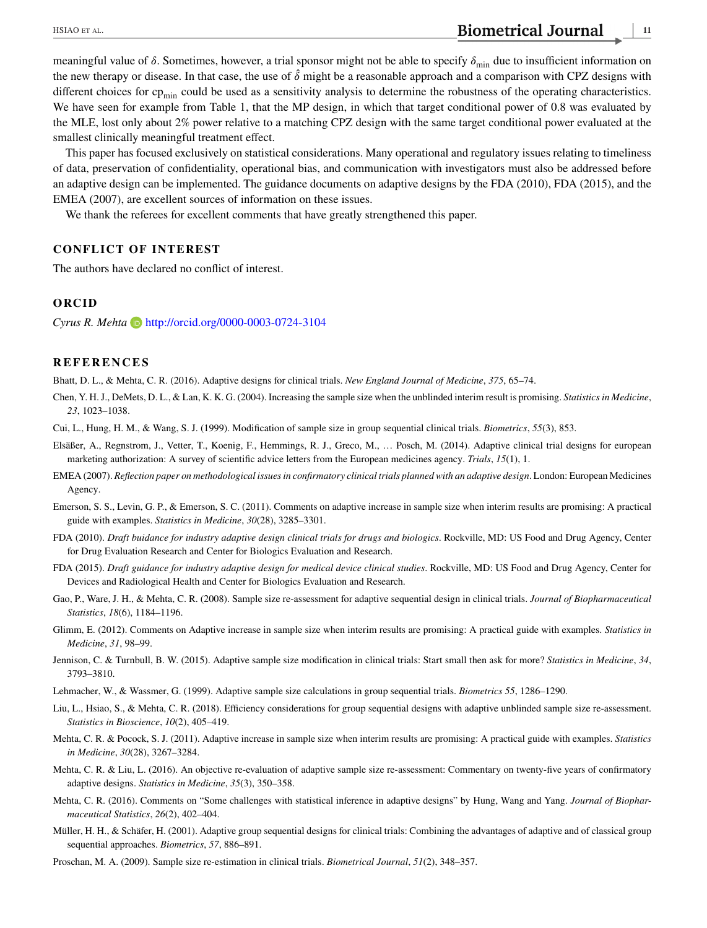## HSIAO ET AL. **11 Biometrical Journal** 11

meaningful value of  $\delta$ . Sometimes, however, a trial sponsor might not be able to specify  $\delta_{\min}$  due to insufficient information on the new therapy or disease. In that case, the use of  $\hat{\delta}$  might be a reasonable approach and a comparison with CPZ designs with different choices for  $cp_{\text{min}}$  could be used as a sensitivity analysis to determine the robustness of the operating characteristics. We have seen for example from Table 1, that the MP design, in which that target conditional power of 0.8 was evaluated by the MLE, lost only about 2% power relative to a matching CPZ design with the same target conditional power evaluated at the smallest clinically meaningful treatment effect.

This paper has focused exclusively on statistical considerations. Many operational and regulatory issues relating to timeliness of data, preservation of confidentiality, operational bias, and communication with investigators must also be addressed before an adaptive design can be implemented. The guidance documents on adaptive designs by the FDA (2010), FDA (2015), and the EMEA (2007), are excellent sources of information on these issues.

We thank the referees for excellent comments that have greatly strengthened this paper.

## **CONFLICT OF INTEREST**

The authors have declared no conflict of interest.

## **ORCID**

*Cyrus R. Mehta* **http://orcid.org/0000-0003-0724-3104** 

#### **REFERENCES**

Bhatt, D. L., & Mehta, C. R. (2016). Adaptive designs for clinical trials. *New England Journal of Medicine*, *375*, 65–74.

- Chen, Y. H. J., DeMets, D. L., & Lan, K. K. G. (2004). Increasing the sample size when the unblinded interim result is promising. *Statistics in Medicine*, *23*, 1023–1038.
- Cui, L., Hung, H. M., & Wang, S. J. (1999). Modification of sample size in group sequential clinical trials. *Biometrics*, *55*(3), 853.
- Elsäßer, A., Regnstrom, J., Vetter, T., Koenig, F., Hemmings, R. J., Greco, M., … Posch, M. (2014). Adaptive clinical trial designs for european marketing authorization: A survey of scientific advice letters from the European medicines agency. *Trials*, *15*(1), 1.
- EMEA (2007). *Reflection paper on methodological issues in confirmatory clinical trials planned with an adaptive design*. London: European Medicines Agency.
- Emerson, S. S., Levin, G. P., & Emerson, S. C. (2011). Comments on adaptive increase in sample size when interim results are promising: A practical guide with examples. *Statistics in Medicine*, *30*(28), 3285–3301.
- FDA (2010). *Draft buidance for industry adaptive design clinical trials for drugs and biologics*. Rockville, MD: US Food and Drug Agency, Center for Drug Evaluation Research and Center for Biologics Evaluation and Research.
- FDA (2015). *Draft guidance for industry adaptive design for medical device clinical studies*. Rockville, MD: US Food and Drug Agency, Center for Devices and Radiological Health and Center for Biologics Evaluation and Research.
- Gao, P., Ware, J. H., & Mehta, C. R. (2008). Sample size re-assessment for adaptive sequential design in clinical trials. *Journal of Biopharmaceutical Statistics*, *18*(6), 1184–1196.
- Glimm, E. (2012). Comments on Adaptive increase in sample size when interim results are promising: A practical guide with examples. *Statistics in Medicine*, *31*, 98–99.
- Jennison, C. & Turnbull, B. W. (2015). Adaptive sample size modification in clinical trials: Start small then ask for more? *Statistics in Medicine*, *34*, 3793–3810.
- Lehmacher, W., & Wassmer, G. (1999). Adaptive sample size calculations in group sequential trials. *Biometrics 55*, 1286–1290.
- Liu, L., Hsiao, S., & Mehta, C. R. (2018). Efficiency considerations for group sequential designs with adaptive unblinded sample size re-assessment. *Statistics in Bioscience*, *10*(2), 405–419.
- Mehta, C. R. & Pocock, S. J. (2011). Adaptive increase in sample size when interim results are promising: A practical guide with examples. *Statistics in Medicine*, *30*(28), 3267–3284.
- Mehta, C. R. & Liu, L. (2016). An objective re-evaluation of adaptive sample size re-assessment: Commentary on twenty-five years of confirmatory adaptive designs. *Statistics in Medicine*, *35*(3), 350–358.
- Mehta, C. R. (2016). Comments on "Some challenges with statistical inference in adaptive designs" by Hung, Wang and Yang. *Journal of Biopharmaceutical Statistics*, *26*(2), 402–404.
- Müller, H. H., & Schäfer, H. (2001). Adaptive group sequential designs for clinical trials: Combining the advantages of adaptive and of classical group sequential approaches. *Biometrics*, *57*, 886–891.

Proschan, M. A. (2009). Sample size re-estimation in clinical trials. *Biometrical Journal*, *51*(2), 348–357.